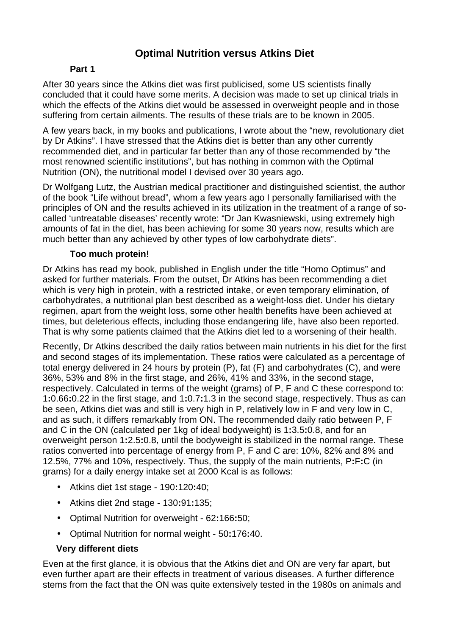# **Optimal Nutrition versus Atkins Diet**

## **Part 1**

After 30 years since the Atkins diet was first publicised, some US scientists finally concluded that it could have some merits. A decision was made to set up clinical trials in which the effects of the Atkins diet would be assessed in overweight people and in those suffering from certain ailments. The results of these trials are to be known in 2005.

A few years back, in my books and publications, I wrote about the "new, revolutionary diet by Dr Atkins". I have stressed that the Atkins diet is better than any other currently recommended diet, and in particular far better than any of those recommended by "the most renowned scientific institutions", but has nothing in common with the Optimal Nutrition (ON), the nutritional model I devised over 30 years ago.

Dr Wolfgang Lutz, the Austrian medical practitioner and distinguished scientist, the author of the book "Life without bread", whom a few years ago I personally familiarised with the principles of ON and the results achieved in its utilization in the treatment of a range of socalled 'untreatable diseases' recently wrote: "Dr Jan Kwasniewski, using extremely high amounts of fat in the diet, has been achieving for some 30 years now, results which are much better than any achieved by other types of low carbohydrate diets".

### **Too much protein!**

Dr Atkins has read my book, published in English under the title "Homo Optimus" and asked for further materials. From the outset, Dr Atkins has been recommending a diet which is very high in protein, with a restricted intake, or even temporary elimination, of carbohydrates, a nutritional plan best described as a weight-loss diet. Under his dietary regimen, apart from the weight loss, some other health benefits have been achieved at times, but deleterious effects, including those endangering life, have also been reported. That is why some patients claimed that the Atkins diet led to a worsening of their health.

Recently, Dr Atkins described the daily ratios between main nutrients in his diet for the first and second stages of its implementation. These ratios were calculated as a percentage of total energy delivered in 24 hours by protein (P), fat (F) and carbohydrates (C), and were 36%, 53% and 8% in the first stage, and 26%, 41% and 33%, in the second stage, respectively. Calculated in terms of the weight (grams) of P, F and C these correspond to: 1**:**0.66**:**0.22 in the first stage, and 1**:**0.7**:**1.3 in the second stage, respectively. Thus as can be seen, Atkins diet was and still is very high in P, relatively low in F and very low in C, and as such, it differs remarkably from ON. The recommended daily ratio between P, F and C in the ON (calculated per 1kg of ideal bodyweight) is 1**:**3.5**:**0.8, and for an overweight person 1**:**2.5**:**0.8, until the bodyweight is stabilized in the normal range. These ratios converted into percentage of energy from P, F and C are: 10%, 82% and 8% and 12.5%, 77% and 10%, respectively. Thus, the supply of the main nutrients, P**:**F**:**C (in grams) for a daily energy intake set at 2000 Kcal is as follows:

- Atkins diet 1st stage 190**:**120**:**40;
- Atkins diet 2nd stage 130**:**91**:**135;
- Optimal Nutrition for overweight 62**:**166**:**50;
- Optimal Nutrition for normal weight 50**:**176**:**40.

## **Very different diets**

Even at the first glance, it is obvious that the Atkins diet and ON are very far apart, but even further apart are their effects in treatment of various diseases. A further difference stems from the fact that the ON was quite extensively tested in the 1980s on animals and